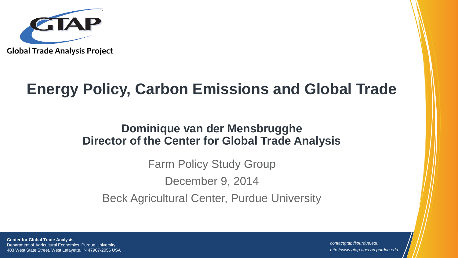

# **Energy Policy, Carbon Emissions and Global Trade**

#### **Dominique van der Mensbrugghe Director of the Center for Global Trade Analysis**

Farm Policy Study Group December 9, 2014 Beck Agricultural Center, Purdue University

**Center for Global Trade Analysis** Department of Agricultural Economics, Purdue University 403 West State Street, West Lafayette, IN 47907-2056 USA

*contactgtap@purdue.edu http://www.gtap.agecon.purdue.edu*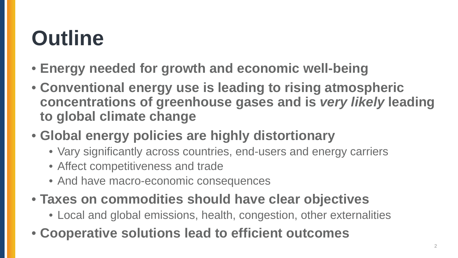# **Outline**

- **Energy needed for growth and economic well-being**
- **Conventional energy use is leading to rising atmospheric concentrations of greenhouse gases and is** *very likely* **leading to global climate change**
- **Global energy policies are highly distortionary**
	- Vary significantly across countries, end-users and energy carriers
	- Affect competitiveness and trade
	- And have macro-economic consequences
- **Taxes on commodities should have clear objectives**
	- Local and global emissions, health, congestion, other externalities
- **Cooperative solutions lead to efficient outcomes**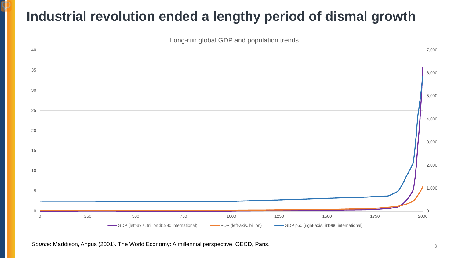#### **Industrial revolution ended a lengthy period of dismal growth**



Source: Maddison, Angus (2001). The World Economy: A millennial perspective. OECD, Paris. 3 3 3 3 3 3 3 3 3 3 3 3 3 3 4  $\sigma$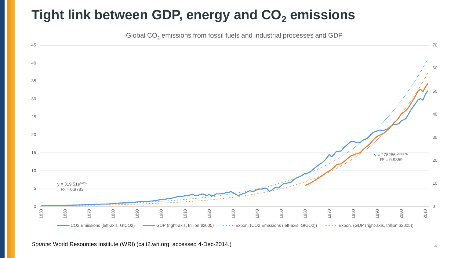#### Tight link between GDP, energy and CO<sub>2</sub> emissions

Global  $CO<sub>2</sub>$  emissions from fossil fuels and industrial processes and GDP



*Source*: World Resources Institute (WRI) (cait2.wri.org, accessed 4-Dec-2014.) <sup>4</sup>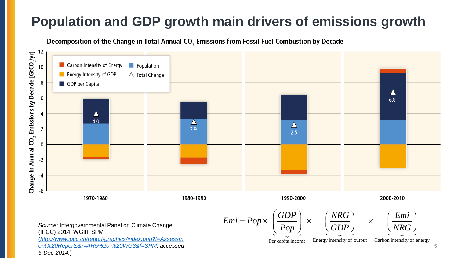## **Population and GDP growth main drivers of emissions growth**

Decomposition of the Change in Total Annual CO<sub>2</sub> Emissions from Fossil Fuel Combustion by Decade



(IPCC) 2014, WGIII, SPM

(*[http://www.ipcc.ch/report/graphics/index.php?t=Assessm](http://www.ipcc.ch/report/graphics/index.php?t=Assessment%20Reports&r=AR5%20-%20WG3&f=SPM) ent%20Reports&r=AR5%20-%20WG3&f=SPM, accessed 5-Dec-2014.*)

Per capita income Energy intensity of output Carbon intensity of energy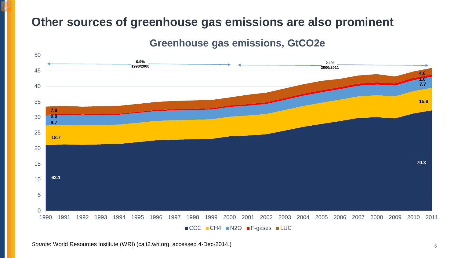#### **Other sources of greenhouse gas emissions are also prominent**

#### **Greenhouse gas emissions, GtCO2e**



*Source*: World Resources Institute (WRI) (cait2.wri.org, accessed 4-Dec-2014.) <sup>6</sup>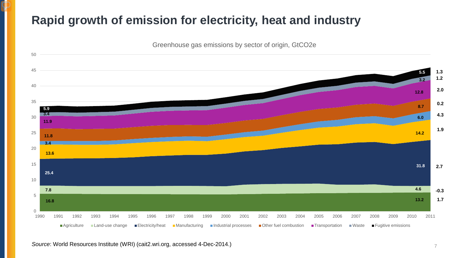#### **Rapid growth of emission for electricity, heat and industry**

Greenhouse gas emissions by sector of origin, GtCO2e



*Source*: World Resources Institute (WRI) (cait2.wri.org, accessed 4-Dec-2014.)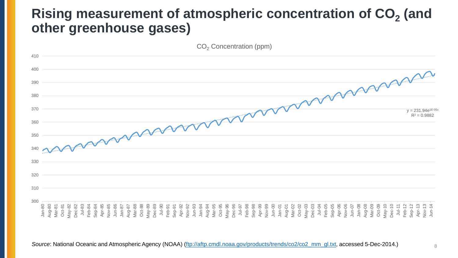#### **Rising measurement of atmospheric concentration of CO<sub>2</sub> (and other greenhouse gases)**

CO<sub>2</sub> Concentration (ppm) 410 400  $y = 231.94e^{1E-0.5x}$ 390 380 370  $R^2 = 0.9882$ 360 350 340 330 320 310 300 Dec-10 Feb-12 Dec-03 Jun-07 Jul-11 Sep-12 Jan-80 Aug-80 Mar-81 Oct-81 May-82 Dec-82 Jul-83<br>Feb-84<br>Sep-85<br>Apr-85<br>Nar-88<br>Mar-88 Oct-88 May-89 Dec-89 Jul-90 Feb-91 Sep-91 Apr-92 Nov-92 Jun-93 Jan-94 Aug-94 Mar-95 Oct-95 May-96 Dec-96 Jul-97 Feb-98 Sep-98 Apr-99 Nov-99 Jun-00 Jan-01 Aug-01 Mar-02 Oct-02 May-03 Jul-04 Feb-05 Sep-05 Apr-06 Nov-06 Jan-08 Aug-08 Mar-09 Oct-09 May-10 Apr-13 Nov-13 Jun-14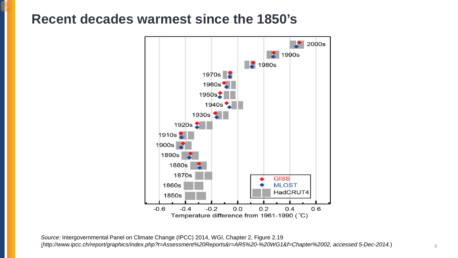#### **Recent decades warmest since the 1850's**



*Source*: Intergovernmental Panel on Climate Change (IPCC) 2014, WGI, Chapter 2, Figure 2.19 [\(](http://www.ipcc.ch/report/graphics/index.php?t=Assessment%20Reports&r=AR5%20-%20WG3&f=SPM)*http://www.ipcc.ch/report/graphics/index.php?t=Assessment%20Reports&r=AR5%20-%20WG1&f=Chapter%2002, accessed 5-Dec-2014.*) 9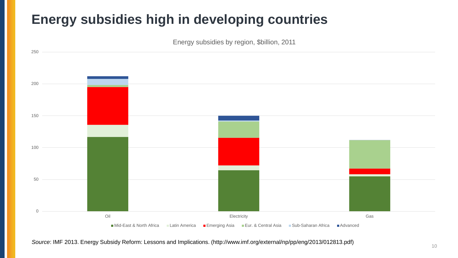### **Energy subsidies high in developing countries**

Energy subsidies by region, \$billion, 2011



*Source*: IMF 2013. Energy Subsidy Reform: Lessons and Implications. (http://www.imf.org/external/np/pp/eng/2013/012813.pdf) <sup>10</sup>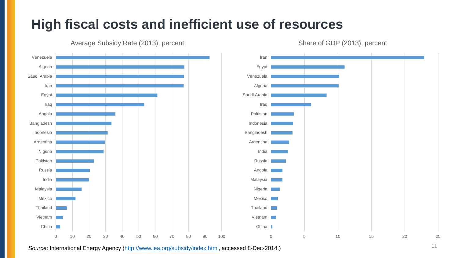#### **High fiscal costs and inefficient use of resources**



Average Subsidy Rate (2013), percent



0 5 10 15 20 25

Share of GDP (2013), percent

*Source*: International Energy Agency [\(http://www.iea.org/subsidy/index.html](http://www.iea.org/subsidy/index.html), accessed 8-Dec-2014.) 11

0 10 20 30 40 50 60 70 80 90 100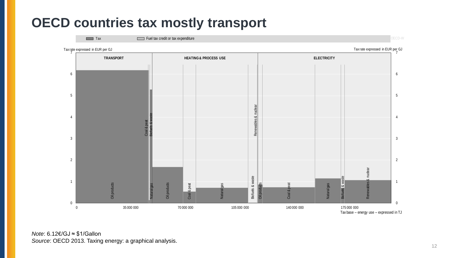#### **OECD countries tax mostly transport**



*Note*: 6.12€/GJ ≈ \$1/Gallon *Source*: OECD 2013. Taxing energy: a graphical analysis.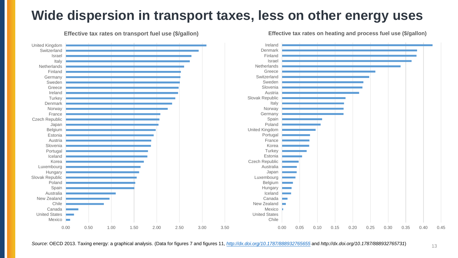#### **Wide dispersion in transport taxes, less on other energy uses**





**Effective tax rates on heating and process fuel use (\$/gallon)**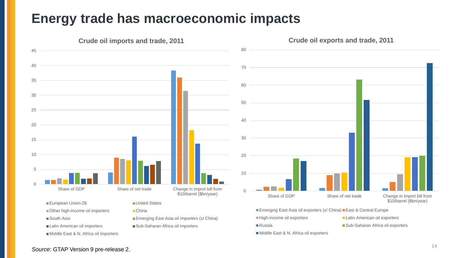#### **Energy trade has macroeconomic impacts**



- 
- 

Middle East & N. Africa oil importers

- 
- South Asia **Emerging East Asia oil importers (x/ China)**
- Latin American oil importers Sub-Saharan Africa oil importers

■High-income oil exporters <br>■Latin American oil exporters ■ Russia Nub-Saharan Africa oil exporters

Middle East & N. Africa oil exporters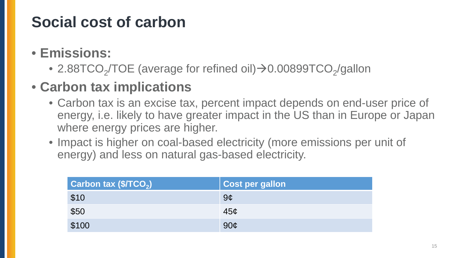# **Social cost of carbon**

### • **Emissions:**

• 2.88TCO<sub>2</sub>/TOE (average for refined oil) $\rightarrow$ 0.00899TCO<sub>2</sub>/gallon

## • **Carbon tax implications**

- Carbon tax is an excise tax, percent impact depends on end-user price of energy, i.e. likely to have greater impact in the US than in Europe or Japan where energy prices are higher.
- Impact is higher on coal-based electricity (more emissions per unit of energy) and less on natural gas-based electricity.

| Carbon tax (\$/TCO <sub>2</sub> ) | <b>Cost per gallon</b> |
|-----------------------------------|------------------------|
| \$10                              | 9 <sub>c</sub>         |
| \$50                              | 45 <sub>c</sub>        |
| \$100                             | 90 <sub>c</sub>        |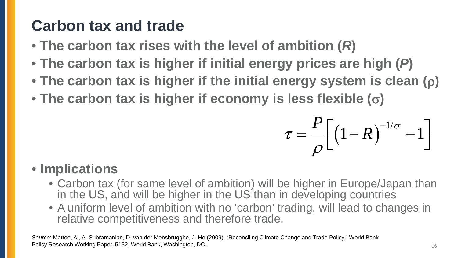# **Carbon tax and trade**

- **The carbon tax rises with the level of ambition (***R***)**
- **The carbon tax is higher if initial energy prices are high (***P***)**
- **The carbon tax is higher if the initial energy system is clean (**ρ**)**
- **The carbon tax is higher if economy is less flexible (**σ**)**

$$
\tau = \frac{P}{\rho} \Big[ \big( 1 - R \big)^{-1/\sigma} - 1 \Big]
$$

### • **Implications**

- Carbon tax (for same level of ambition) will be higher in Europe/Japan than in the US, and will be higher in the US than in developing countries
- A uniform level of ambition with no 'carbon' trading, will lead to changes in relative competitiveness and therefore trade.

*Source*: Mattoo, A., A. Subramanian, D. van der Mensbrugghe, J. He (2009). "Reconciling Climate Change and Trade Policy," World Bank Policy Research Working Paper, 5132, World Bank, Washington, DC. 16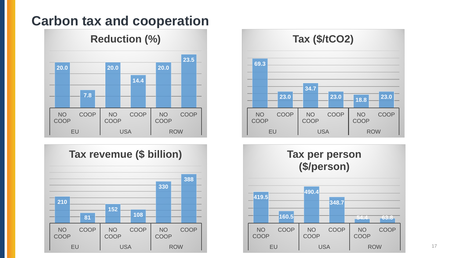#### **Carbon tax and cooperation**

#### **Reduction (%)**







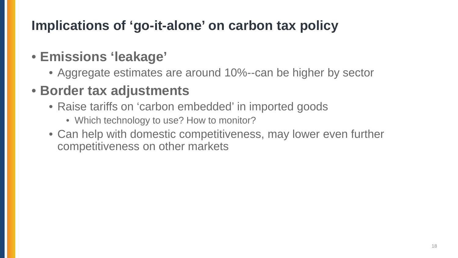## **Implications of 'go-it-alone' on carbon tax policy**

#### • **Emissions 'leakage'**

• Aggregate estimates are around 10%--can be higher by sector

## • **Border tax adjustments**

- Raise tariffs on 'carbon embedded' in imported goods
	- Which technology to use? How to monitor?
- Can help with domestic competitiveness, may lower even further competitiveness on other markets